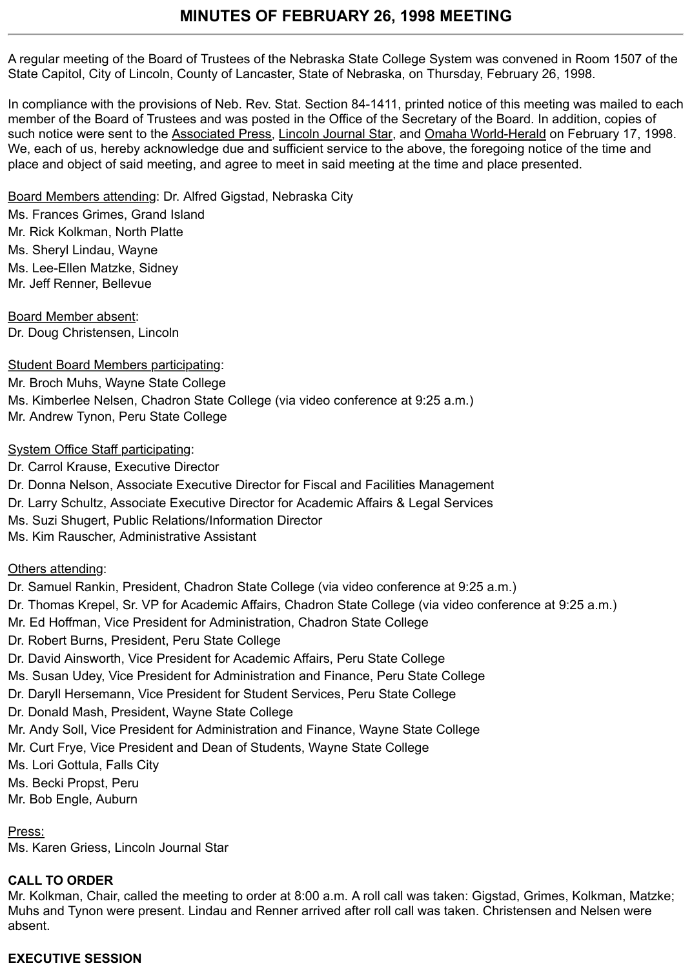A regular meeting of the Board of Trustees of the Nebraska State College System was convened in Room 1507 of the State Capitol, City of Lincoln, County of Lancaster, State of Nebraska, on Thursday, February 26, 1998.

In compliance with the provisions of Neb. Rev. Stat. Section 84-1411, printed notice of this meeting was mailed to each member of the Board of Trustees and was posted in the Office of the Secretary of the Board. In addition, copies of such notice were sent to the Associated Press, Lincoln Journal Star, and Omaha World-Herald on February 17, 1998. We, each of us, hereby acknowledge due and sufficient service to the above, the foregoing notice of the time and place and object of said meeting, and agree to meet in said meeting at the time and place presented.

Board Members attending: Dr. Alfred Gigstad, Nebraska City

Ms. Frances Grimes, Grand Island Mr. Rick Kolkman, North Platte Ms. Sheryl Lindau, Wayne Ms. Lee-Ellen Matzke, Sidney Mr. Jeff Renner, Bellevue

Board Member absent: Dr. Doug Christensen, Lincoln

Student Board Members participating:

Mr. Broch Muhs, Wayne State College Ms. Kimberlee Nelsen, Chadron State College (via video conference at 9:25 a.m.) Mr. Andrew Tynon, Peru State College

# System Office Staff participating:

Dr. Carrol Krause, Executive Director Dr. Donna Nelson, Associate Executive Director for Fiscal and Facilities Management Dr. Larry Schultz, Associate Executive Director for Academic Affairs & Legal Services Ms. Suzi Shugert, Public Relations/Information Director Ms. Kim Rauscher, Administrative Assistant

Others attending:

Dr. Samuel Rankin, President, Chadron State College (via video conference at 9:25 a.m.)

Dr. Thomas Krepel, Sr. VP for Academic Affairs, Chadron State College (via video conference at 9:25 a.m.)

Mr. Ed Hoffman, Vice President for Administration, Chadron State College

Dr. Robert Burns, President, Peru State College

Dr. David Ainsworth, Vice President for Academic Affairs, Peru State College

Ms. Susan Udey, Vice President for Administration and Finance, Peru State College

Dr. Daryll Hersemann, Vice President for Student Services, Peru State College

Dr. Donald Mash, President, Wayne State College

Mr. Andy Soll, Vice President for Administration and Finance, Wayne State College

Mr. Curt Frye, Vice President and Dean of Students, Wayne State College

Ms. Lori Gottula, Falls City

Ms. Becki Propst, Peru

Mr. Bob Engle, Auburn

# Press:

Ms. Karen Griess, Lincoln Journal Star

# **CALL TO ORDER**

Mr. Kolkman, Chair, called the meeting to order at 8:00 a.m. A roll call was taken: Gigstad, Grimes, Kolkman, Matzke; Muhs and Tynon were present. Lindau and Renner arrived after roll call was taken. Christensen and Nelsen were absent.

# **EXECUTIVE SESSION**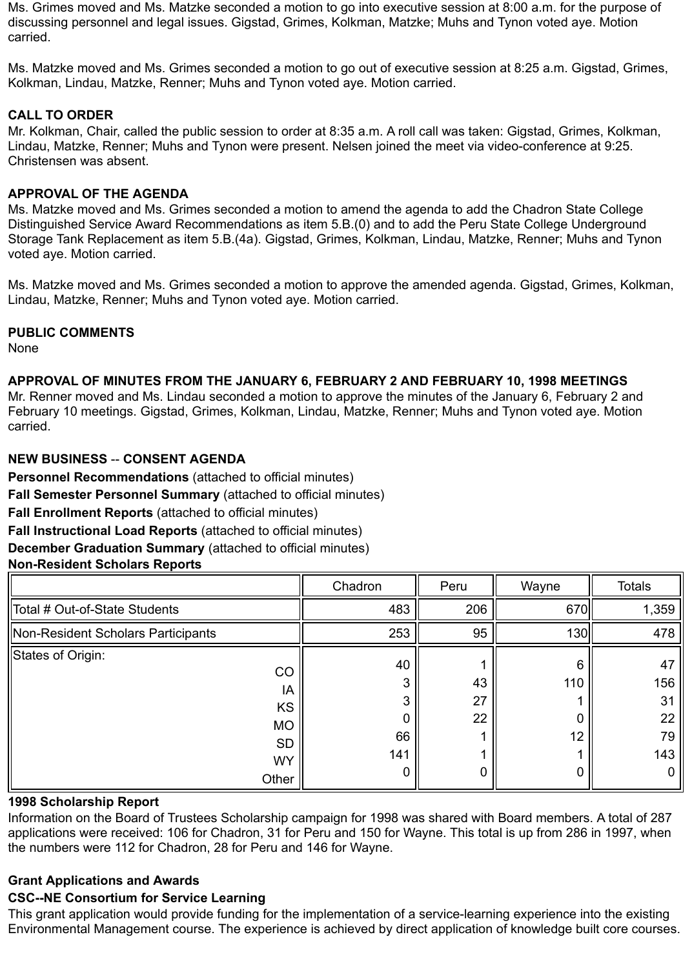Ms. Grimes moved and Ms. Matzke seconded a motion to go into executive session at 8:00 a.m. for the purpose of discussing personnel and legal issues. Gigstad, Grimes, Kolkman, Matzke; Muhs and Tynon voted aye. Motion carried.

Ms. Matzke moved and Ms. Grimes seconded a motion to go out of executive session at 8:25 a.m. Gigstad, Grimes, Kolkman, Lindau, Matzke, Renner; Muhs and Tynon voted aye. Motion carried.

# **CALL TO ORDER**

Mr. Kolkman, Chair, called the public session to order at 8:35 a.m. A roll call was taken: Gigstad, Grimes, Kolkman, Lindau, Matzke, Renner; Muhs and Tynon were present. Nelsen joined the meet via video-conference at 9:25. Christensen was absent.

#### **APPROVAL OF THE AGENDA**

Ms. Matzke moved and Ms. Grimes seconded a motion to amend the agenda to add the Chadron State College Distinguished Service Award Recommendations as item 5.B.(0) and to add the Peru State College Underground Storage Tank Replacement as item 5.B.(4a). Gigstad, Grimes, Kolkman, Lindau, Matzke, Renner; Muhs and Tynon voted aye. Motion carried.

Ms. Matzke moved and Ms. Grimes seconded a motion to approve the amended agenda. Gigstad, Grimes, Kolkman, Lindau, Matzke, Renner; Muhs and Tynon voted aye. Motion carried.

#### **PUBLIC COMMENTS**

None

#### **APPROVAL OF MINUTES FROM THE JANUARY 6, FEBRUARY 2 AND FEBRUARY 10, 1998 MEETINGS**

Mr. Renner moved and Ms. Lindau seconded a motion to approve the minutes of the January 6, February 2 and February 10 meetings. Gigstad, Grimes, Kolkman, Lindau, Matzke, Renner; Muhs and Tynon voted aye. Motion carried.

#### **NEW BUSINESS** -- **CONSENT AGENDA**

**Personnel Recommendations** (attached to official minutes)

**Fall Semester Personnel Summary** (attached to official minutes)

**Fall Enrollment Reports** (attached to official minutes)

**Fall Instructional Load Reports** (attached to official minutes)

**December Graduation Summary** (attached to official minutes)

# **Non-Resident Scholars Reports**

|                                                                                            | Chadron                             | Peru           | Wayne          | <b>Totals</b>                           |
|--------------------------------------------------------------------------------------------|-------------------------------------|----------------|----------------|-----------------------------------------|
| Total # Out-of-State Students                                                              | 483                                 | 206            | 670            | 1,359                                   |
| Non-Resident Scholars Participants                                                         | 253                                 | 95             | <b>130</b>     | 478                                     |
| States of Origin:<br>CO<br>IA<br><b>KS</b><br><b>MO</b><br><b>SD</b><br><b>WY</b><br>Other | 40<br>3<br>3<br>0<br>66<br>141<br>0 | 43<br>27<br>22 | 6<br>110<br>12 | 47<br>156<br>31<br>22<br>79<br>143<br>0 |

# **1998 Scholarship Report**

Information on the Board of Trustees Scholarship campaign for 1998 was shared with Board members. A total of 287 applications were received: 106 for Chadron, 31 for Peru and 150 for Wayne. This total is up from 286 in 1997, when the numbers were 112 for Chadron, 28 for Peru and 146 for Wayne.

#### **Grant Applications and Awards**

# **CSC--NE Consortium for Service Learning**

This grant application would provide funding for the implementation of a service-learning experience into the existing Environmental Management course. The experience is achieved by direct application of knowledge built core courses.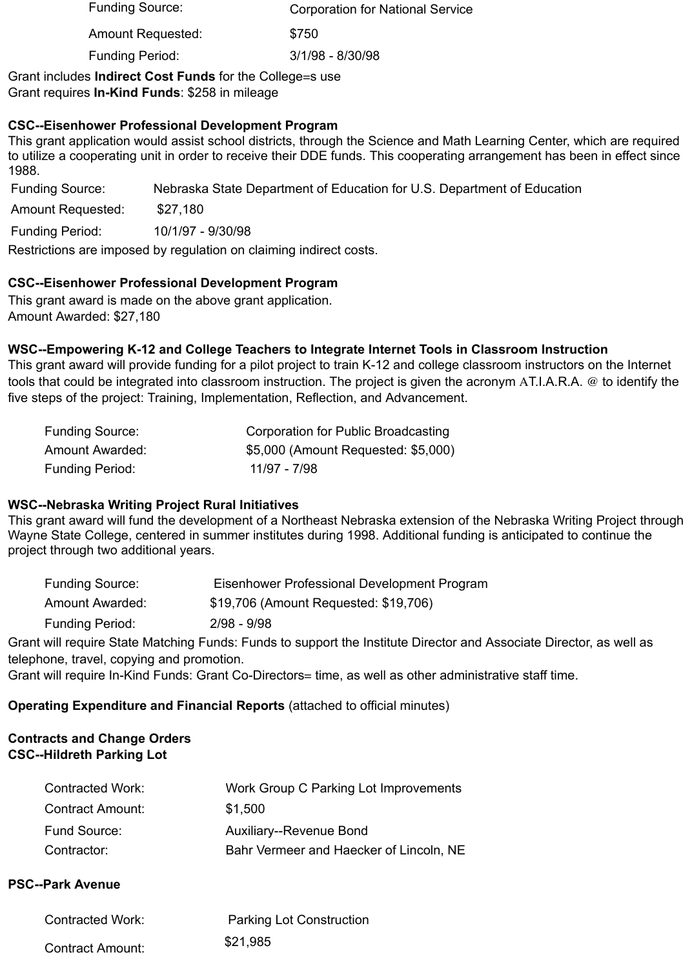| <b>Funding Source:</b>   | <b>Corporation for National Service</b> |  |  |  |
|--------------------------|-----------------------------------------|--|--|--|
| <b>Amount Requested:</b> | \$750                                   |  |  |  |
| <b>Funding Period:</b>   | 3/1/98 - 8/30/98                        |  |  |  |

Grant includes **Indirect Cost Funds** for the College=s use Grant requires **In-Kind Funds**: \$258 in mileage

# **CSC--Eisenhower Professional Development Program**

This grant application would assist school districts, through the Science and Math Learning Center, which are required to utilize a cooperating unit in order to receive their DDE funds. This cooperating arrangement has been in effect since 1988.

Funding Source: Nebraska State Department of Education for U.S. Department of Education

Amount Requested: \$27,180

Funding Period: 10/1/97 - 9/30/98

Restrictions are imposed by regulation on claiming indirect costs.

# **CSC--Eisenhower Professional Development Program**

This grant award is made on the above grant application. Amount Awarded: \$27,180

# **WSC--Empowering K-12 and College Teachers to Integrate Internet Tools in Classroom Instruction**

This grant award will provide funding for a pilot project to train K-12 and college classroom instructors on the Internet tools that could be integrated into classroom instruction. The project is given the acronym AT.I.A.R.A. @ to identify the five steps of the project: Training, Implementation, Reflection, and Advancement.

| <b>Funding Source:</b> | Corporation for Public Broadcasting |
|------------------------|-------------------------------------|
| Amount Awarded:        | \$5,000 (Amount Requested: \$5,000) |
| <b>Funding Period:</b> | 11/97 - 7/98                        |

# **WSC--Nebraska Writing Project Rural Initiatives**

This grant award will fund the development of a Northeast Nebraska extension of the Nebraska Writing Project through Wayne State College, centered in summer institutes during 1998. Additional funding is anticipated to continue the project through two additional years.

| <b>Funding Source:</b> | Eisenhower Professional Development Program                                                                 |
|------------------------|-------------------------------------------------------------------------------------------------------------|
| <b>Amount Awarded:</b> | \$19,706 (Amount Requested: \$19,706)                                                                       |
| <b>Funding Period:</b> | $2/98 - 9/98$                                                                                               |
|                        | 'Il accorded Afold Motoldical Estador Estado foi detecto de la diferita Bladeto de de Alderdo Bladeto de de |

Grant will require State Matching Funds: Funds to support the Institute Director and Associate Director, as well as telephone, travel, copying and promotion.

Grant will require In-Kind Funds: Grant Co-Directors= time, as well as other administrative staff time.

# **Operating Expenditure and Financial Reports** (attached to official minutes)

#### **Contracts and Change Orders CSC--Hildreth Parking Lot**

| <b>Contracted Work:</b> | Work Group C Parking Lot Improvements   |
|-------------------------|-----------------------------------------|
| <b>Contract Amount:</b> | \$1.500                                 |
| <b>Fund Source:</b>     | <b>Auxiliary--Revenue Bond</b>          |
| Contractor:             | Bahr Vermeer and Haecker of Lincoln, NE |

#### **PSC--Park Avenue**

| <b>Contracted Work:</b> | <b>Parking Lot Construction</b> |
|-------------------------|---------------------------------|
| <b>Contract Amount:</b> | \$21,985                        |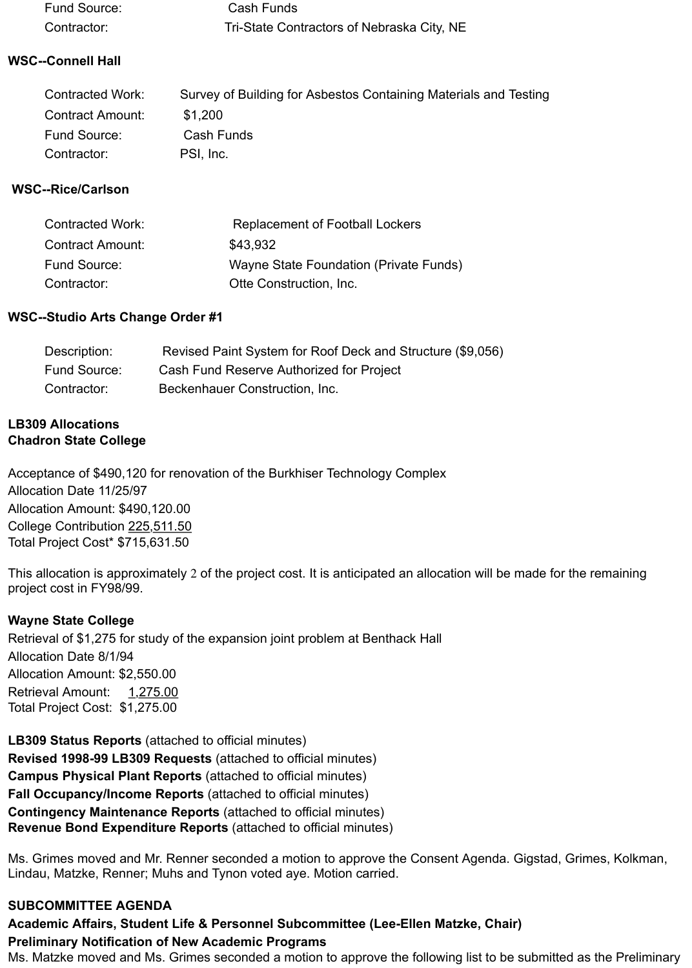| Fund Source: | Cash Funds                                 |
|--------------|--------------------------------------------|
| Contractor:  | Tri-State Contractors of Nebraska City, NE |

# **WSC--Connell Hall**

| <b>Contracted Work:</b> | Survey of Building for Asbestos Containing Materials and Testing |
|-------------------------|------------------------------------------------------------------|
| <b>Contract Amount:</b> | \$1.200                                                          |
| Fund Source:            | Cash Funds                                                       |
| Contractor:             | PSI, Inc.                                                        |

# **WSC--Rice/Carlson**

| <b>Contracted Work:</b> | <b>Replacement of Football Lockers</b> |
|-------------------------|----------------------------------------|
| <b>Contract Amount:</b> | \$43,932                               |
| Fund Source:            | Wayne State Foundation (Private Funds) |
| Contractor:             | Otte Construction, Inc.                |

#### **WSC--Studio Arts Change Order #1**

| Description: | Revised Paint System for Roof Deck and Structure (\$9,056) |
|--------------|------------------------------------------------------------|
| Fund Source: | Cash Fund Reserve Authorized for Project                   |
| Contractor:  | Beckenhauer Construction, Inc.                             |

### **LB309 Allocations Chadron State College**

Acceptance of \$490,120 for renovation of the Burkhiser Technology Complex Allocation Date 11/25/97 Allocation Amount: \$490,120.00 College Contribution 225,511.50 Total Project Cost\* \$715,631.50

This allocation is approximately 2 of the project cost. It is anticipated an allocation will be made for the remaining project cost in FY98/99.

# **Wayne State College**

Retrieval of \$1,275 for study of the expansion joint problem at Benthack Hall Allocation Date 8/1/94 Allocation Amount: \$2,550.00 Retrieval Amount: 1,275.00 Total Project Cost: \$1,275.00

**LB309 Status Reports** (attached to official minutes) **Revised 1998-99 LB309 Requests** (attached to official minutes) **Campus Physical Plant Reports** (attached to official minutes) **Fall Occupancy/Income Reports** (attached to official minutes) **Contingency Maintenance Reports** (attached to official minutes) **Revenue Bond Expenditure Reports** (attached to official minutes)

Ms. Grimes moved and Mr. Renner seconded a motion to approve the Consent Agenda. Gigstad, Grimes, Kolkman, Lindau, Matzke, Renner; Muhs and Tynon voted aye. Motion carried.

# **SUBCOMMITTEE AGENDA**

# **Academic Affairs, Student Life & Personnel Subcommittee (Lee-Ellen Matzke, Chair) Preliminary Notification of New Academic Programs**

Ms. Matzke moved and Ms. Grimes seconded a motion to approve the following list to be submitted as the Preliminary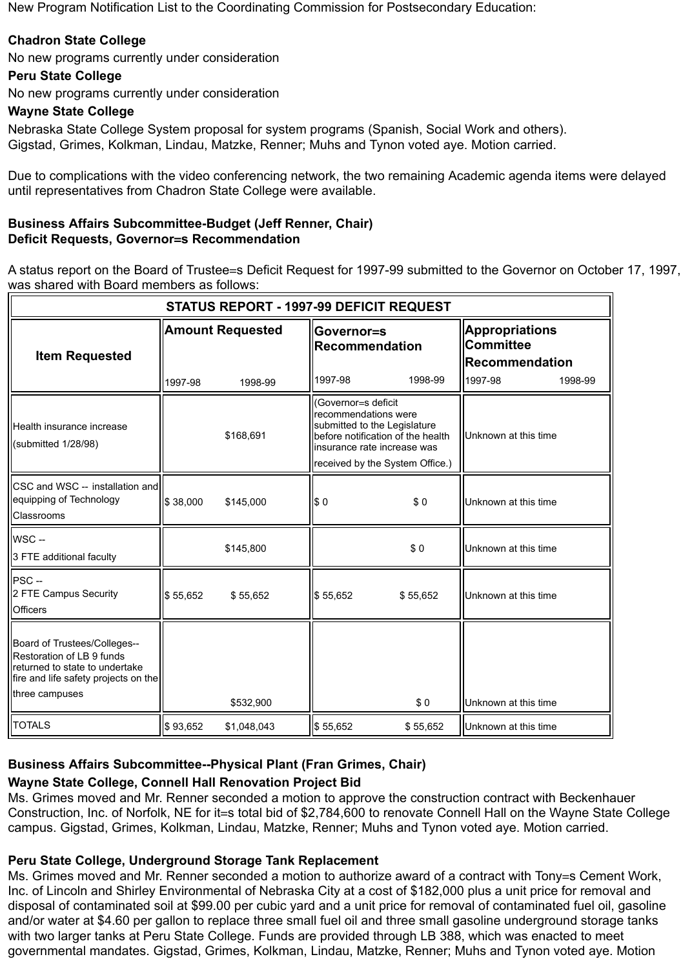New Program Notification List to the Coordinating Commission for Postsecondary Education:

# **Chadron State College**

No new programs currently under consideration

# **Peru State College**

No new programs currently under consideration

# **Wayne State College**

Nebraska State College System proposal for system programs (Spanish, Social Work and others). Gigstad, Grimes, Kolkman, Lindau, Matzke, Renner; Muhs and Tynon voted aye. Motion carried.

Due to complications with the video conferencing network, the two remaining Academic agenda items were delayed until representatives from Chadron State College were available.

#### **Business Affairs Subcommittee-Budget (Jeff Renner, Chair) Deficit Requests, Governor=s Recommendation**

A status report on the Board of Trustee=s Deficit Request for 1997-99 submitted to the Governor on October 17, 1997, was shared with Board members as follows:

| <b>STATUS REPORT - 1997-99 DEFICIT REQUEST</b>                                                                                                        |                                                                                                                                                                                                 |                                    |                                                |          |                                                                               |         |
|-------------------------------------------------------------------------------------------------------------------------------------------------------|-------------------------------------------------------------------------------------------------------------------------------------------------------------------------------------------------|------------------------------------|------------------------------------------------|----------|-------------------------------------------------------------------------------|---------|
| <b>Item Requested</b>                                                                                                                                 | 1997-98                                                                                                                                                                                         | <b>Amount Requested</b><br>1998-99 | Governor=s<br><b>Recommendation</b><br>1997-98 | 1998-99  | <b>Appropriations</b><br><b>Committee</b><br><b>Recommendation</b><br>1997-98 | 1998-99 |
| Health insurance increase<br>(submitted 1/28/98)                                                                                                      | (Governor=s deficit<br>recommendations were<br>submitted to the Legislature<br>\$168,691<br>before notification of the health<br>insurance rate increase was<br>received by the System Office.) |                                    | Unknown at this time                           |          |                                                                               |         |
| <b>CSC</b> and WSC -- installation and<br>equipping of Technology<br>Classrooms                                                                       | \$38,000                                                                                                                                                                                        | \$145,000                          | \$0                                            | \$0      | Unknown at this time                                                          |         |
| WSC-<br>3 FTE additional faculty                                                                                                                      |                                                                                                                                                                                                 | \$145,800                          |                                                | \$0      | Unknown at this time                                                          |         |
| $PSC -$<br>2 FTE Campus Security<br><b>Officers</b>                                                                                                   | \$55,652                                                                                                                                                                                        | \$55,652                           | \$55,652                                       | \$55,652 | Unknown at this time                                                          |         |
| Board of Trustees/Colleges--<br>Restoration of LB 9 funds<br>returned to state to undertake<br>fire and life safety projects on the<br>three campuses |                                                                                                                                                                                                 | \$532,900                          |                                                | \$0      | Unknown at this time                                                          |         |
| <b>TOTALS</b>                                                                                                                                         | \$93,652                                                                                                                                                                                        | \$1,048,043                        | \$55,652                                       | \$55,652 | Unknown at this time                                                          |         |

# **Business Affairs Subcommittee--Physical Plant (Fran Grimes, Chair)**

# **Wayne State College, Connell Hall Renovation Project Bid**

Ms. Grimes moved and Mr. Renner seconded a motion to approve the construction contract with Beckenhauer Construction, Inc. of Norfolk, NE for it=s total bid of \$2,784,600 to renovate Connell Hall on the Wayne State College campus. Gigstad, Grimes, Kolkman, Lindau, Matzke, Renner; Muhs and Tynon voted aye. Motion carried.

# **Peru State College, Underground Storage Tank Replacement**

Ms. Grimes moved and Mr. Renner seconded a motion to authorize award of a contract with Tony=s Cement Work, Inc. of Lincoln and Shirley Environmental of Nebraska City at a cost of \$182,000 plus a unit price for removal and disposal of contaminated soil at \$99.00 per cubic yard and a unit price for removal of contaminated fuel oil, gasoline and/or water at \$4.60 per gallon to replace three small fuel oil and three small gasoline underground storage tanks with two larger tanks at Peru State College. Funds are provided through LB 388, which was enacted to meet governmental mandates. Gigstad, Grimes, Kolkman, Lindau, Matzke, Renner; Muhs and Tynon voted aye. Motion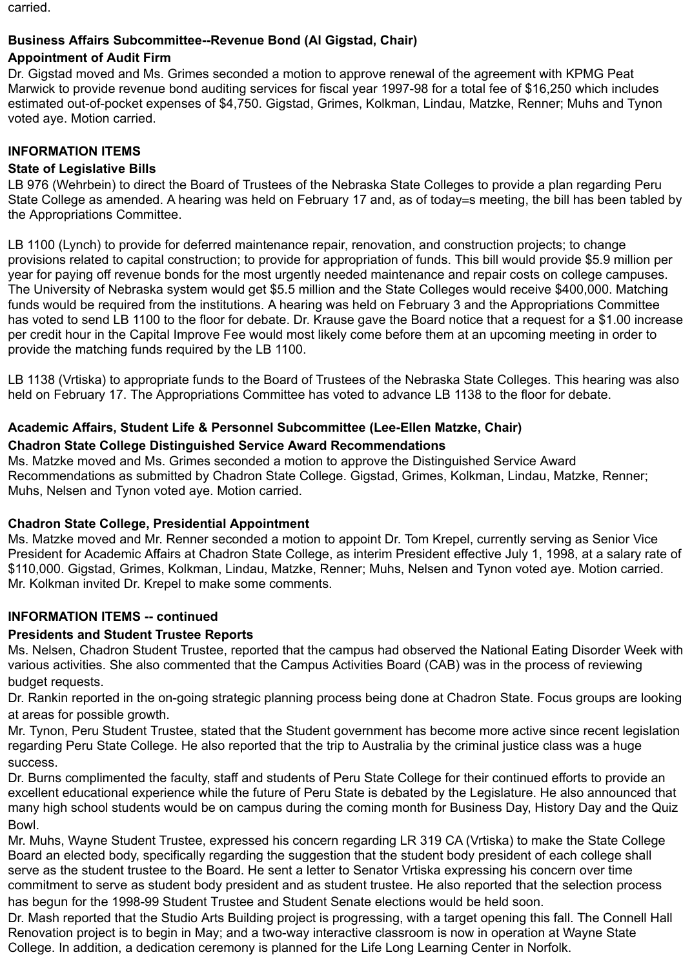carried.

### **Business Affairs Subcommittee--Revenue Bond (Al Gigstad, Chair)**

# **Appointment of Audit Firm**

Dr. Gigstad moved and Ms. Grimes seconded a motion to approve renewal of the agreement with KPMG Peat Marwick to provide revenue bond auditing services for fiscal year 1997-98 for a total fee of \$16,250 which includes estimated out-of-pocket expenses of \$4,750. Gigstad, Grimes, Kolkman, Lindau, Matzke, Renner; Muhs and Tynon voted aye. Motion carried.

#### **INFORMATION ITEMS**

#### **State of Legislative Bills**

LB 976 (Wehrbein) to direct the Board of Trustees of the Nebraska State Colleges to provide a plan regarding Peru State College as amended. A hearing was held on February 17 and, as of today=s meeting, the bill has been tabled by the Appropriations Committee.

LB 1100 (Lynch) to provide for deferred maintenance repair, renovation, and construction projects; to change provisions related to capital construction; to provide for appropriation of funds. This bill would provide \$5.9 million per year for paying off revenue bonds for the most urgently needed maintenance and repair costs on college campuses. The University of Nebraska system would get \$5.5 million and the State Colleges would receive \$400,000. Matching funds would be required from the institutions. A hearing was held on February 3 and the Appropriations Committee has voted to send LB 1100 to the floor for debate. Dr. Krause gave the Board notice that a request for a \$1.00 increase per credit hour in the Capital Improve Fee would most likely come before them at an upcoming meeting in order to provide the matching funds required by the LB 1100.

LB 1138 (Vrtiska) to appropriate funds to the Board of Trustees of the Nebraska State Colleges. This hearing was also held on February 17. The Appropriations Committee has voted to advance LB 1138 to the floor for debate.

# **Academic Affairs, Student Life & Personnel Subcommittee (Lee-Ellen Matzke, Chair)**

#### **Chadron State College Distinguished Service Award Recommendations**

Ms. Matzke moved and Ms. Grimes seconded a motion to approve the Distinguished Service Award Recommendations as submitted by Chadron State College. Gigstad, Grimes, Kolkman, Lindau, Matzke, Renner; Muhs, Nelsen and Tynon voted aye. Motion carried.

# **Chadron State College, Presidential Appointment**

Ms. Matzke moved and Mr. Renner seconded a motion to appoint Dr. Tom Krepel, currently serving as Senior Vice President for Academic Affairs at Chadron State College, as interim President effective July 1, 1998, at a salary rate of \$110,000. Gigstad, Grimes, Kolkman, Lindau, Matzke, Renner; Muhs, Nelsen and Tynon voted aye. Motion carried. Mr. Kolkman invited Dr. Krepel to make some comments.

# **INFORMATION ITEMS -- continued**

# **Presidents and Student Trustee Reports**

Ms. Nelsen, Chadron Student Trustee, reported that the campus had observed the National Eating Disorder Week with various activities. She also commented that the Campus Activities Board (CAB) was in the process of reviewing budget requests.

Dr. Rankin reported in the on-going strategic planning process being done at Chadron State. Focus groups are looking at areas for possible growth.

Mr. Tynon, Peru Student Trustee, stated that the Student government has become more active since recent legislation regarding Peru State College. He also reported that the trip to Australia by the criminal justice class was a huge success.

Dr. Burns complimented the faculty, staff and students of Peru State College for their continued efforts to provide an excellent educational experience while the future of Peru State is debated by the Legislature. He also announced that many high school students would be on campus during the coming month for Business Day, History Day and the Quiz Bowl.

Mr. Muhs, Wayne Student Trustee, expressed his concern regarding LR 319 CA (Vrtiska) to make the State College Board an elected body, specifically regarding the suggestion that the student body president of each college shall serve as the student trustee to the Board. He sent a letter to Senator Vrtiska expressing his concern over time commitment to serve as student body president and as student trustee. He also reported that the selection process has begun for the 1998-99 Student Trustee and Student Senate elections would be held soon.

Dr. Mash reported that the Studio Arts Building project is progressing, with a target opening this fall. The Connell Hall Renovation project is to begin in May; and a two-way interactive classroom is now in operation at Wayne State College. In addition, a dedication ceremony is planned for the Life Long Learning Center in Norfolk.